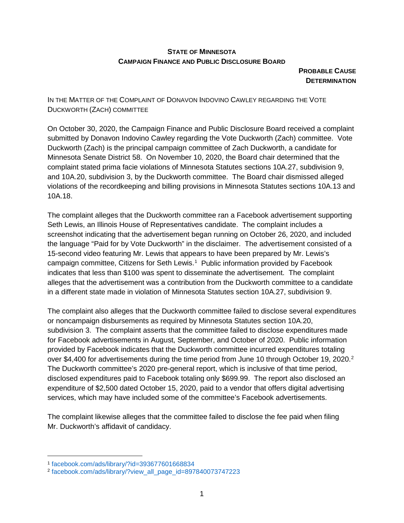## **STATE OF MINNESOTA CAMPAIGN FINANCE AND PUBLIC DISCLOSURE BOARD**

**PROBABLE CAUSE DETERMINATION** 

IN THE MATTER OF THE COMPLAINT OF DONAVON INDOVINO CAWLEY REGARDING THE VOTE DUCKWORTH (ZACH) COMMITTEE

On October 30, 2020, the Campaign Finance and Public Disclosure Board received a complaint submitted by Donavon Indovino Cawley regarding the Vote Duckworth (Zach) committee. Vote Duckworth (Zach) is the principal campaign committee of Zach Duckworth, a candidate for Minnesota Senate District 58. On November 10, 2020, the Board chair determined that the complaint stated prima facie violations of Minnesota Statutes sections 10A.27, subdivision 9, and 10A.20, subdivision 3, by the Duckworth committee. The Board chair dismissed alleged violations of the recordkeeping and billing provisions in Minnesota Statutes sections 10A.13 and 10A.18.

The complaint alleges that the Duckworth committee ran a Facebook advertisement supporting Seth Lewis, an Illinois House of Representatives candidate. The complaint includes a screenshot indicating that the advertisement began running on October 26, 2020, and included the language "Paid for by Vote Duckworth" in the disclaimer. The advertisement consisted of a 15-second video featuring Mr. Lewis that appears to have been prepared by Mr. Lewis's campaign committee, Citizens for Seth Lewis.<sup>[1](#page-0-0)</sup> Public information provided by Facebook indicates that less than \$100 was spent to disseminate the advertisement. The complaint alleges that the advertisement was a contribution from the Duckworth committee to a candidate in a different state made in violation of Minnesota Statutes section 10A.27, subdivision 9.

The complaint also alleges that the Duckworth committee failed to disclose several expenditures or noncampaign disbursements as required by Minnesota Statutes section 10A.20, subdivision 3. The complaint asserts that the committee failed to disclose expenditures made for Facebook advertisements in August, September, and October of 2020. Public information provided by Facebook indicates that the Duckworth committee incurred expenditures totaling over \$4,400 for advertisements during the time period from June 10 through October 19, [2](#page-0-1)020.<sup>2</sup> The Duckworth committee's 2020 pre-general report, which is inclusive of that time period, disclosed expenditures paid to Facebook totaling only \$699.99. The report also disclosed an expenditure of \$2,500 dated October 15, 2020, paid to a vendor that offers digital advertising services, which may have included some of the committee's Facebook advertisements.

The complaint likewise alleges that the committee failed to disclose the fee paid when filing Mr. Duckworth's affidavit of candidacy.

<span id="page-0-0"></span> <sup>1</sup> [facebook.com/ads/library/?id=393677601668834](https://www.facebook.com/ads/library/?id=393677601668834)

<span id="page-0-1"></span><sup>2</sup> [facebook.com/ads/library/?view\\_all\\_page\\_id=897840073747223](https://www.facebook.com/ads/library/?view_all_page_id=897840073747223)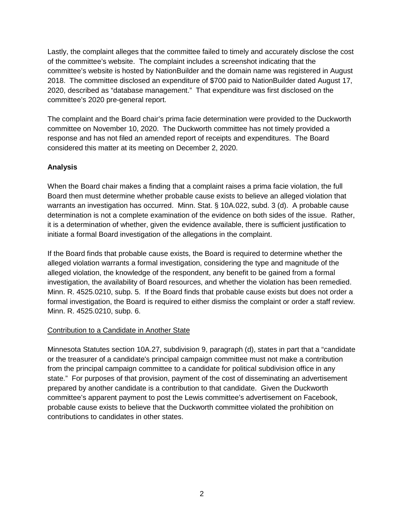Lastly, the complaint alleges that the committee failed to timely and accurately disclose the cost of the committee's website. The complaint includes a screenshot indicating that the committee's website is hosted by NationBuilder and the domain name was registered in August 2018. The committee disclosed an expenditure of \$700 paid to NationBuilder dated August 17, 2020, described as "database management." That expenditure was first disclosed on the committee's 2020 pre-general report.

The complaint and the Board chair's prima facie determination were provided to the Duckworth committee on November 10, 2020. The Duckworth committee has not timely provided a response and has not filed an amended report of receipts and expenditures. The Board considered this matter at its meeting on December 2, 2020.

# **Analysis**

When the Board chair makes a finding that a complaint raises a prima facie violation, the full Board then must determine whether probable cause exists to believe an alleged violation that warrants an investigation has occurred. Minn. Stat. § 10A.022, subd. 3 (d). A probable cause determination is not a complete examination of the evidence on both sides of the issue. Rather, it is a determination of whether, given the evidence available, there is sufficient justification to initiate a formal Board investigation of the allegations in the complaint.

If the Board finds that probable cause exists, the Board is required to determine whether the alleged violation warrants a formal investigation, considering the type and magnitude of the alleged violation, the knowledge of the respondent, any benefit to be gained from a formal investigation, the availability of Board resources, and whether the violation has been remedied. Minn. R. 4525.0210, subp. 5. If the Board finds that probable cause exists but does not order a formal investigation, the Board is required to either dismiss the complaint or order a staff review. Minn. R. 4525.0210, subp. 6.

#### Contribution to a Candidate in Another State

Minnesota Statutes section 10A.27, subdivision 9, paragraph (d), states in part that a "candidate or the treasurer of a candidate's principal campaign committee must not make a contribution from the principal campaign committee to a candidate for political subdivision office in any state." For purposes of that provision, payment of the cost of disseminating an advertisement prepared by another candidate is a contribution to that candidate. Given the Duckworth committee's apparent payment to post the Lewis committee's advertisement on Facebook, probable cause exists to believe that the Duckworth committee violated the prohibition on contributions to candidates in other states.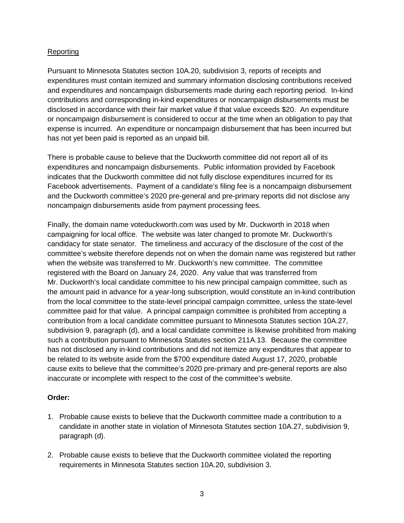### Reporting

Pursuant to Minnesota Statutes section 10A.20, subdivision 3, reports of receipts and expenditures must contain itemized and summary information disclosing contributions received and expenditures and noncampaign disbursements made during each reporting period. In-kind contributions and corresponding in-kind expenditures or noncampaign disbursements must be disclosed in accordance with their fair market value if that value exceeds \$20. An expenditure or noncampaign disbursement is considered to occur at the time when an obligation to pay that expense is incurred. An expenditure or noncampaign disbursement that has been incurred but has not yet been paid is reported as an unpaid bill.

There is probable cause to believe that the Duckworth committee did not report all of its expenditures and noncampaign disbursements. Public information provided by Facebook indicates that the Duckworth committee did not fully disclose expenditures incurred for its Facebook advertisements. Payment of a candidate's filing fee is a noncampaign disbursement and the Duckworth committee's 2020 pre-general and pre-primary reports did not disclose any noncampaign disbursements aside from payment processing fees.

Finally, the domain name voteduckworth.com was used by Mr. Duckworth in 2018 when campaigning for local office. The website was later changed to promote Mr. Duckworth's candidacy for state senator. The timeliness and accuracy of the disclosure of the cost of the committee's website therefore depends not on when the domain name was registered but rather when the website was transferred to Mr. Duckworth's new committee. The committee registered with the Board on January 24, 2020. Any value that was transferred from Mr. Duckworth's local candidate committee to his new principal campaign committee, such as the amount paid in advance for a year-long subscription, would constitute an in-kind contribution from the local committee to the state-level principal campaign committee, unless the state-level committee paid for that value. A principal campaign committee is prohibited from accepting a contribution from a local candidate committee pursuant to Minnesota Statutes section 10A.27, subdivision 9, paragraph (d), and a local candidate committee is likewise prohibited from making such a contribution pursuant to Minnesota Statutes section 211A.13. Because the committee has not disclosed any in-kind contributions and did not itemize any expenditures that appear to be related to its website aside from the \$700 expenditure dated August 17, 2020, probable cause exits to believe that the committee's 2020 pre-primary and pre-general reports are also inaccurate or incomplete with respect to the cost of the committee's website.

#### **Order:**

- 1. Probable cause exists to believe that the Duckworth committee made a contribution to a candidate in another state in violation of Minnesota Statutes section 10A.27, subdivision 9, paragraph (d).
- 2. Probable cause exists to believe that the Duckworth committee violated the reporting requirements in Minnesota Statutes section 10A.20, subdivision 3.